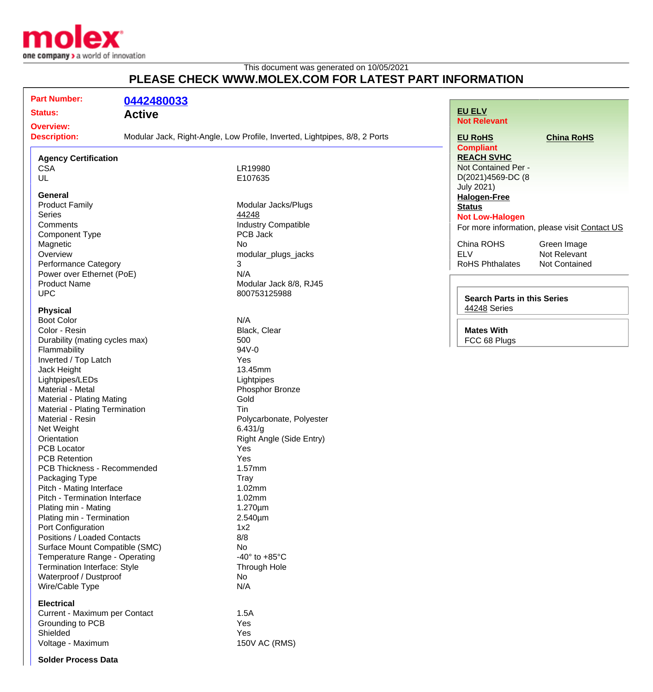

## This document was generated on 10/05/2021 **PLEASE CHECK WWW.MOLEX.COM FOR LATEST PART INFORMATION**

| <b>Part Number:</b>            | 0442480033    |                                                                            |                                          |                                               |
|--------------------------------|---------------|----------------------------------------------------------------------------|------------------------------------------|-----------------------------------------------|
| <b>Status:</b>                 |               |                                                                            | <b>EU ELV</b>                            |                                               |
|                                | <b>Active</b> |                                                                            | <b>Not Relevant</b>                      |                                               |
| <b>Overview:</b>               |               |                                                                            |                                          |                                               |
| <b>Description:</b>            |               | Modular Jack, Right-Angle, Low Profile, Inverted, Lightpipes, 8/8, 2 Ports | <b>EU RoHS</b>                           | <b>China RoHS</b>                             |
|                                |               |                                                                            | <b>Compliant</b>                         |                                               |
| <b>Agency Certification</b>    |               |                                                                            | <b>REACH SVHC</b><br>Not Contained Per - |                                               |
| <b>CSA</b>                     |               | LR19980                                                                    |                                          |                                               |
| UL                             |               | E107635                                                                    | D(2021)4569-DC (8                        |                                               |
| <b>General</b>                 |               |                                                                            | <b>July 2021)</b>                        |                                               |
| <b>Product Family</b>          |               | Modular Jacks/Plugs                                                        | <b>Halogen-Free</b>                      |                                               |
| <b>Series</b>                  |               | 44248                                                                      | <b>Status</b>                            |                                               |
| Comments                       |               | <b>Industry Compatible</b>                                                 | <b>Not Low-Halogen</b>                   |                                               |
| <b>Component Type</b>          |               | PCB Jack                                                                   |                                          | For more information, please visit Contact US |
| Magnetic                       |               | No                                                                         | China ROHS                               | Green Image                                   |
| Overview                       |               | modular_plugs_jacks                                                        | <b>ELV</b>                               | Not Relevant                                  |
| <b>Performance Category</b>    |               | 3                                                                          | <b>RoHS Phthalates</b>                   | Not Contained                                 |
| Power over Ethernet (PoE)      |               | N/A                                                                        |                                          |                                               |
| <b>Product Name</b>            |               | Modular Jack 8/8, RJ45                                                     |                                          |                                               |
| <b>UPC</b>                     |               | 800753125988                                                               |                                          |                                               |
|                                |               |                                                                            | <b>Search Parts in this Series</b>       |                                               |
| <b>Physical</b>                |               |                                                                            | 44248 Series                             |                                               |
| <b>Boot Color</b>              |               | N/A                                                                        |                                          |                                               |
| Color - Resin                  |               | Black, Clear                                                               | <b>Mates With</b>                        |                                               |
| Durability (mating cycles max) |               | 500                                                                        | FCC 68 Plugs                             |                                               |
| Flammability                   |               | 94V-0                                                                      |                                          |                                               |
| Inverted / Top Latch           |               | Yes                                                                        |                                          |                                               |
| Jack Height                    |               | 13.45mm                                                                    |                                          |                                               |
| Lightpipes/LEDs                |               | Lightpipes                                                                 |                                          |                                               |
| Material - Metal               |               | Phosphor Bronze                                                            |                                          |                                               |
| Material - Plating Mating      |               | Gold                                                                       |                                          |                                               |
| Material - Plating Termination |               | Tin                                                                        |                                          |                                               |
| Material - Resin               |               | Polycarbonate, Polyester                                                   |                                          |                                               |
| Net Weight                     |               | 6.431/g                                                                    |                                          |                                               |
| Orientation                    |               | Right Angle (Side Entry)                                                   |                                          |                                               |
| <b>PCB Locator</b>             |               | Yes                                                                        |                                          |                                               |
| <b>PCB Retention</b>           |               | Yes                                                                        |                                          |                                               |
| PCB Thickness - Recommended    |               | 1.57mm                                                                     |                                          |                                               |
| Packaging Type                 |               | <b>Tray</b>                                                                |                                          |                                               |
| Pitch - Mating Interface       |               | 1.02mm                                                                     |                                          |                                               |
| Pitch - Termination Interface  |               | 1.02mm                                                                     |                                          |                                               |
| Plating min - Mating           |               | $1.270 \mu m$                                                              |                                          |                                               |
| Plating min - Termination      |               | $2.540 \mu m$                                                              |                                          |                                               |
| Port Configuration             |               | 1x2                                                                        |                                          |                                               |
| Positions / Loaded Contacts    |               | 8/8                                                                        |                                          |                                               |
| Surface Mount Compatible (SMC) |               | No                                                                         |                                          |                                               |
| Temperature Range - Operating  |               | -40 $\degree$ to +85 $\degree$ C                                           |                                          |                                               |
| Termination Interface: Style   |               | Through Hole                                                               |                                          |                                               |
| Waterproof / Dustproof         |               | No                                                                         |                                          |                                               |
| Wire/Cable Type                |               | N/A                                                                        |                                          |                                               |
|                                |               |                                                                            |                                          |                                               |
| <b>Electrical</b>              |               |                                                                            |                                          |                                               |
| Current - Maximum per Contact  |               | 1.5A                                                                       |                                          |                                               |
| Grounding to PCB               |               | Yes                                                                        |                                          |                                               |
| Shielded                       |               | Yes                                                                        |                                          |                                               |
| Voltage - Maximum              |               | 150V AC (RMS)                                                              |                                          |                                               |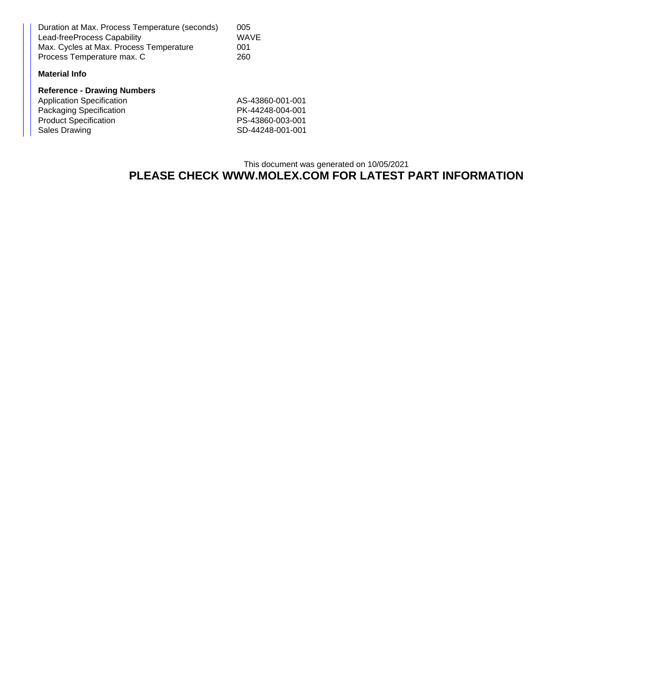| Duration at Max. Process Temperature (seconds) | 005  |
|------------------------------------------------|------|
| Lead-freeProcess Capability                    | WAVE |
| Max. Cycles at Max. Process Temperature        | 001  |
| Process Temperature max. C                     | 260  |

## **Material Info**

| <b>Reference - Drawing Numbers</b> |                  |
|------------------------------------|------------------|
| <b>Application Specification</b>   | AS-43860-001-001 |
| Packaging Specification            | PK-44248-004-001 |
| <b>Product Specification</b>       | PS-43860-003-001 |
| Sales Drawing                      | SD-44248-001-001 |

## This document was generated on 10/05/2021 **PLEASE CHECK WWW.MOLEX.COM FOR LATEST PART INFORMATION**